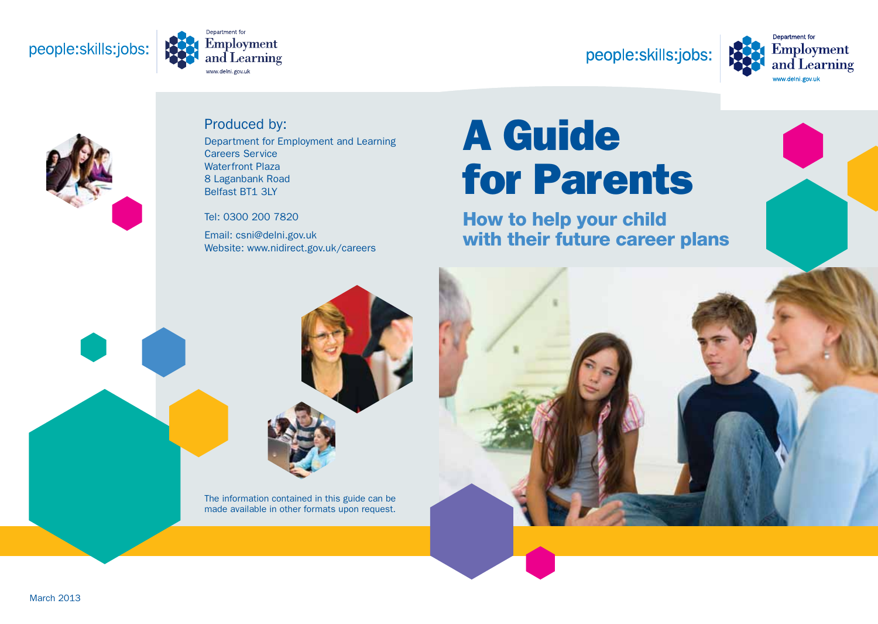### people:skills:jobs:



### people:skills:jobs:





### Produced by:

Department for Employment and Learning Careers Service Waterfront Plaza 8 Laganbank Road Belfast BT1 3LY

Tel: 0300 200 7820

Email: csni@delni.gov.uk Website: www.nidirect.gov.uk/careers

# A Guide for Parents

How to help your child with their future career plans

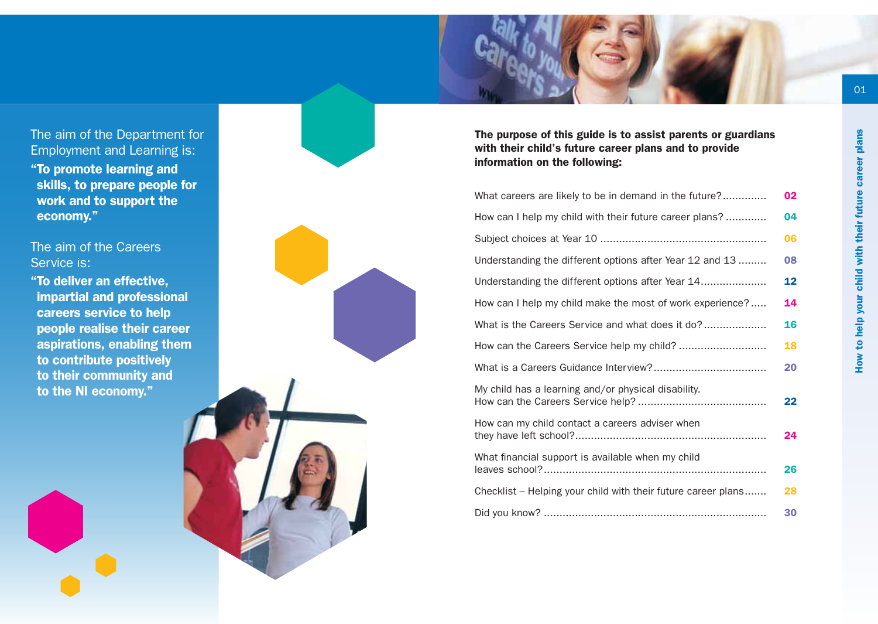The aim of the Department for Employment and Learning is: "To promote learning and skills, to prepare people for work and to support the economy."

#### The aim of the Careers Service is:

"To deliver an effective, impartial and professional careers service to help people realise their career aspirations, enabling them to contribute positively to their community and to the NI economy."



The purpose of this guide is to assist parents or guardians with their child's future career plans and to provide information on the following:

| What careers are likely to be in demand in the future?        | 02 |
|---------------------------------------------------------------|----|
| How can I help my child with their future career plans?       | 04 |
|                                                               | 06 |
| Understanding the different options after Year 12 and 13      | 08 |
| Understanding the different options after Year 14             | 12 |
| How can I help my child make the most of work experience?     | 14 |
| What is the Careers Service and what does it do?              | 16 |
|                                                               | 18 |
|                                                               | 20 |
| My child has a learning and/or physical disability.           | 22 |
| How can my child contact a careers adviser when               | 24 |
| What financial support is available when my child             | 26 |
| Checklist - Helping your child with their future career plans | 28 |
|                                                               | 30 |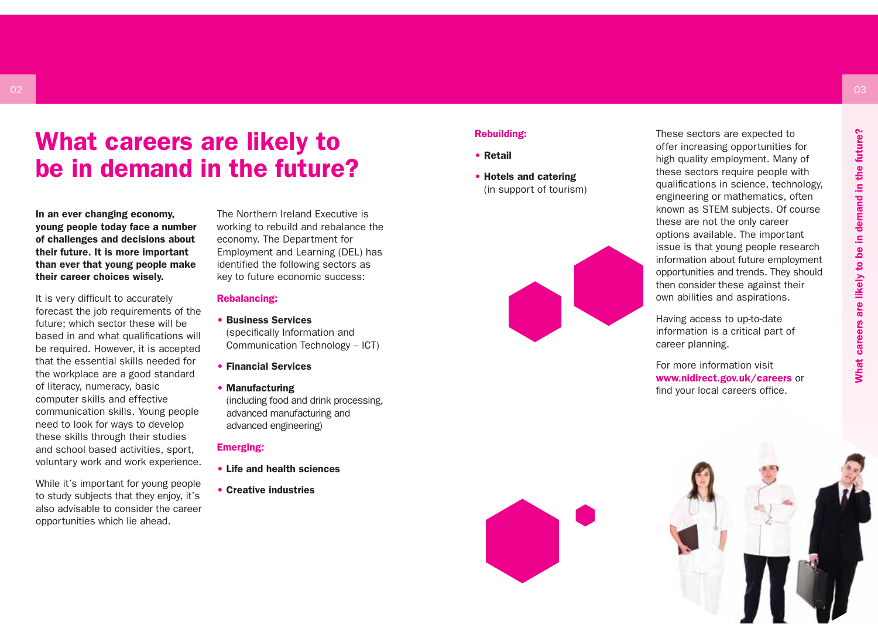### What careers are likely to be in demand in the future?

In an ever changing economy, young people today face a number of challenges and decisions about their future. It is more important than ever that young people make their career choices wisely.

It is very difficult to accurately forecast the job requirements of the future; which sector these will be based in and what qualifications will be required. However, it is accepted that the essential skills needed for the workplace are a good standard of literacy, numeracy, basic computer skills and effective communication skills. Young people need to look for ways to develop these skills through their studies and school based activities, sport, voluntary work and work experience.

While it's important for young people to study subjects that they enjoy, it's also advisable to consider the career opportunities which lie ahead.

The Northern Ireland Executive is working to rebuild and rebalance the economy. The Department for Employment and Learning (DEL) has identified the following sectors as key to future economic success:

#### Rebalancing:

#### • Business Services

(specifically Information and Communication Technology – ICT)

• Financial Services

#### • Manufacturing

(including food and drink processing, advanced manufacturing and advanced engineering)

#### Emerging:

- Life and health sciences
- Creative industries

#### Rebuilding:

- Retail
- Hotels and catering (in support of tourism)



These sectors are expected to offer increasing opportunities for high quality employment. Many of these sectors require people with qualifications in science, technology, engineering or mathematics, often known as STEM subjects. Of course these are not the only career options available. The important issue is that young people research information about future employment opportunities and trends. They should then consider these against their own abilities and aspirations.

Having access to up-to-date information is a critical part of career planning.

For more information visit www.nidirect.gov.uk/careers or find your local careers office.



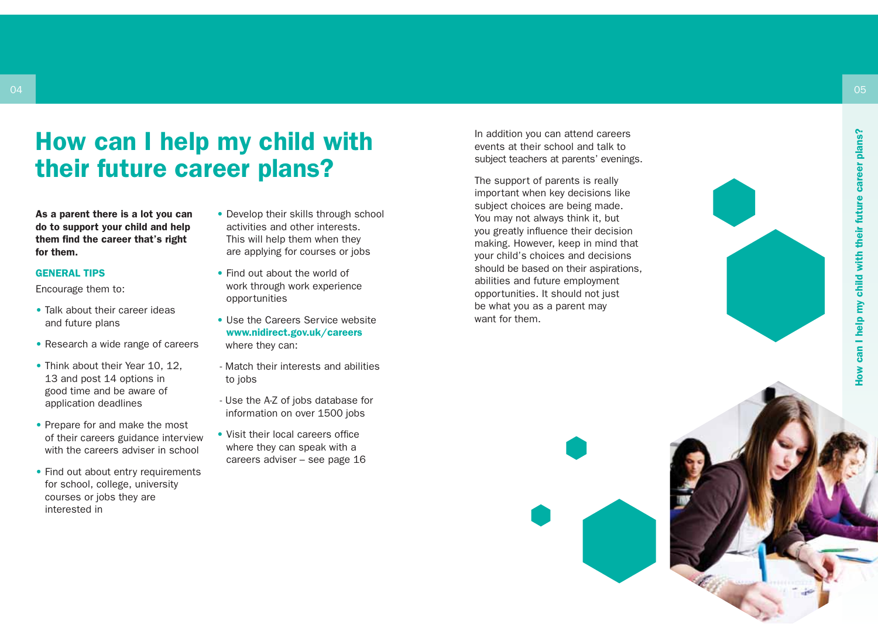### How can I help my child with their future career plans?

As a parent there is a lot you can do to support your child and help them find the career that's right

# for them.<br>GENERAL TIPS

Encourage them to:

- Talk about their career ideas and future plans
- Research a wide range of careers
- Think about their Year 10, 12. 13 and post 14 options in good time and be aware of application deadlines
- Prepare for and make the most of their careers guidance interview with the careers adviser in school
- Find out about entry requirements for school, college, university courses or jobs they are interested in
- Develop their skills through school activities and other interests. This will help them when they are applying for courses or jobs
- Find out about the world of work through work experience opportunities
- Use the Careers Service website www.nidirect.gov.uk/careers where they can:
- Match their interests and abilities to jobs
- Use the A-Z of jobs database for information on over 1500 jobs
- Visit their local careers office where they can speak with a careers adviser – see page 16

In addition you can attend careers events at their school and talk to subject teachers at parents' evenings.

The support of parents is really important when key decisions like subject choices are being made. You may not always think it, but you greatly influence their decision making. However, keep in mind that your child's choices and decisions should be based on their aspirations, abilities and future employment opportunities. It should not just be what you as a parent may want for them.

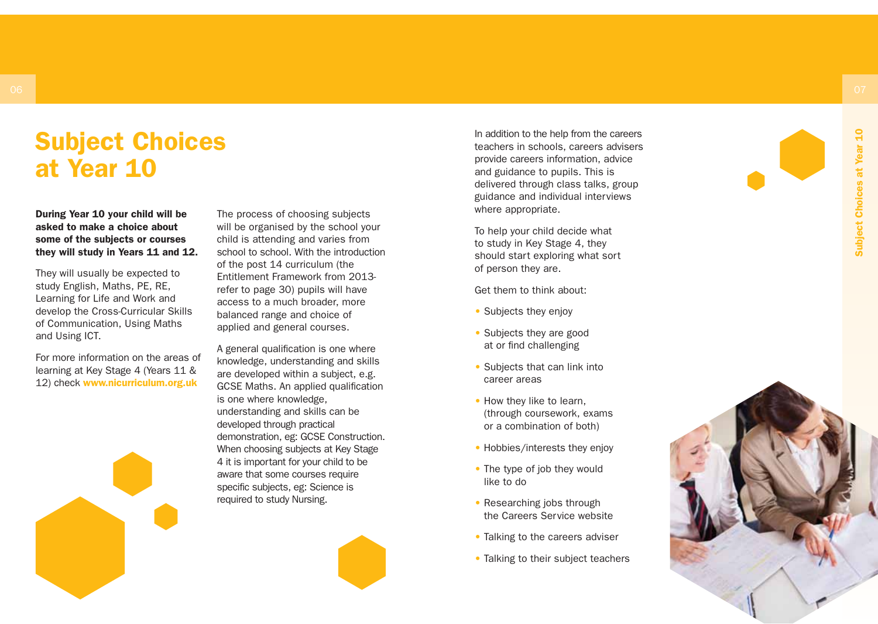# Subject Choices at Year 10

#### During Year 10 your child will be asked to make a choice about some of the subjects or courses they will study in Years 11 and 12.

They will usually be expected to study English, Maths, PE, RE, Learning for Life and Work and develop the Cross-Curricular Skills of Communication, Using Maths and Using ICT.

For more information on the areas of learning at Key Stage 4 (Years 11 & 12) check www.nicurriculum.org.uk

The process of choosing subjects will be organised by the school your child is attending and varies from school to school. With the introduction of the post 14 curriculum (the Entitlement Framework from 2013 refer to page 30) pupils will have access to a much broader, more balanced range and choice of applied and general courses.

A general qualification is one where knowledge, understanding and skills are developed within a subject, e.g. GCSE Maths. An applied qualification is one where knowledge, understanding and skills can be developed through practical demonstration, eg: GCSE Construction. When choosing subjects at Key Stage 4 it is important for your child to be aware that some courses require specific subjects, eg: Science is required to study Nursing.

In addition to the help from the careers teachers in schools, careers advisers provide careers information, advice and guidance to pupils. This is delivered through class talks, group guidance and individual interviews where appropriate.

To help your child decide what to study in Key Stage 4, they should start exploring what sort of person they are.

Get them to think about:

- Subjects they enjoy
- Subjects they are good at or find challenging
- Subjects that can link into career areas
- How they like to learn, (through coursework, exams or a combination of both)
- Hobbies/interests they enjoy
- The type of job they would like to do
- Researching jobs through the Careers Service website
- Talking to the careers adviser
- Talking to their subject teachers

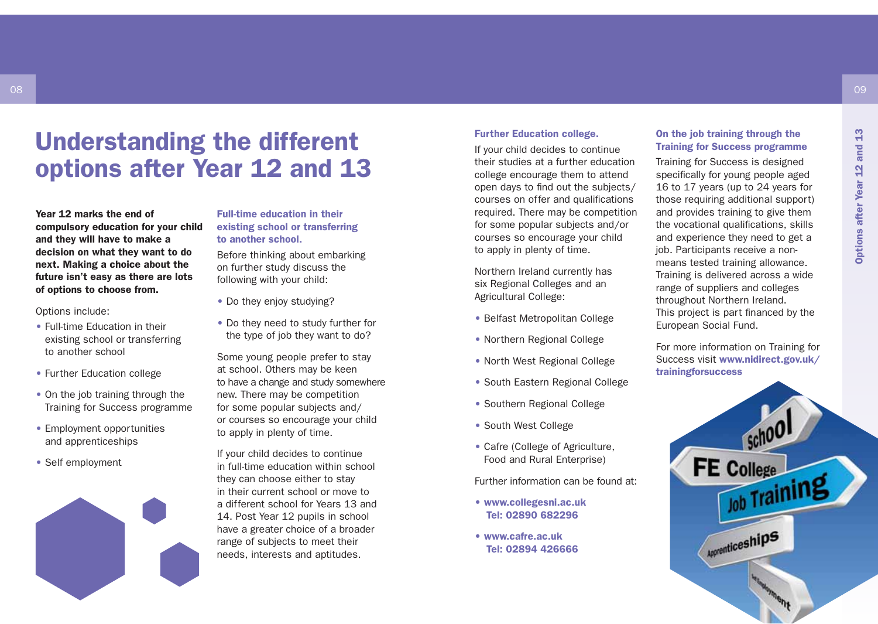### Understanding the different options after Year 12 and 13

Year 12 marks the end of compulsory education for your child and they will have to make a decision on what they want to do next. Making a choice about the future isn't easy as there are lots of options to choose from.

Options include:

08

- Full-time Education in their existing school or transferring to another school
- Further Education college
- On the job training through the Training for Success programme
- Employment opportunities and apprenticeships
- Self employment



Full-time education in their existing school or transferring to another school.

Before thinking about embarking on further study discuss the following with your child:

- Do they enjoy studying?
- Do they need to study further for the type of job they want to do?

Some young people prefer to stay at school. Others may be keen to have a change and study somewhere new. There may be competition for some popular subjects and/ or courses so encourage your child to apply in plenty of time.

If your child decides to continue in full-time education within school they can choose either to stay in their current school or move to a different school for Years 13 and 14. Post Year 12 pupils in school have a greater choice of a broader range of subjects to meet their needs, interests and aptitudes.

#### Further Education college.

If your child decides to continue their studies at a further education college encourage them to attend open days to find out the subjects/ courses on offer and qualifications required. There may be competition for some popular subjects and/or courses so encourage your child to apply in plenty of time.

Northern Ireland currently has six Regional Colleges and an Agricultural College:

- Belfast Metropolitan College
- Northern Regional College
- North West Regional College
- South Eastern Regional College
- Southern Regional College
- South West College
- Cafre (College of Agriculture, Food and Rural Enterprise)

Further information can be found at:

- www.collegesni.ac.uk Tel: 02890 682296
- www.cafre.ac.uk Tel: 02894 426666

#### On the job training through the Training for Success programme

Training for Success is designed specifically for young people aged 16 to 17 years (up to 24 years for those requiring additional support) and provides training to give them the vocational qualifications, skills and experience they need to get a job. Participants receive a nonmeans tested training allowance. Training is delivered across a wide range of suppliers and colleges throughout Northern Ireland. This project is part financed by the European Social Fund.

For more information on Training for Success visit www.nidirect.gov.uk/ trainingforsuccess

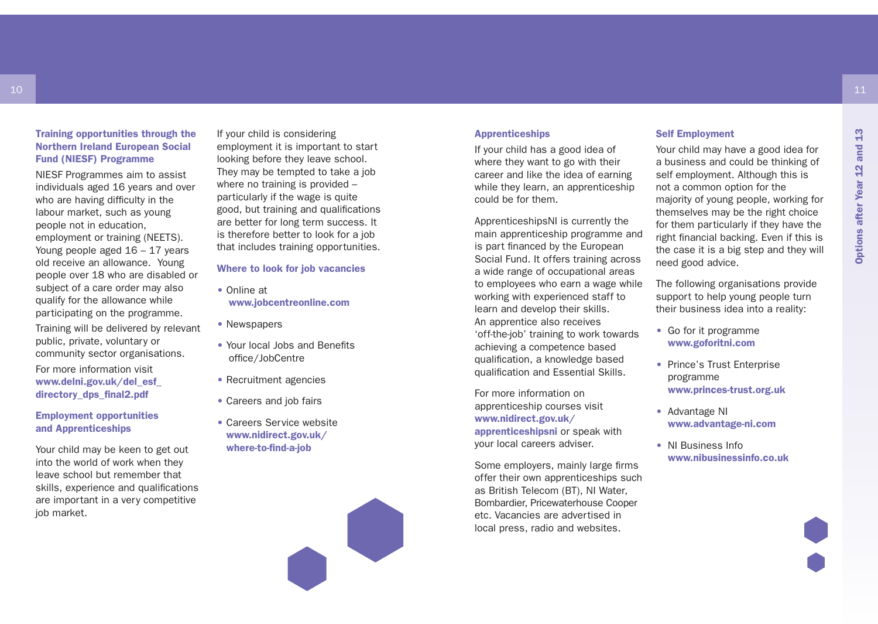#### Training opportunities through the Northern Ireland European Social Fund (NIESF) Programme

10

NIESF Programmes aim to assist individuals aged 16 years and over who are having difficulty in the labour market, such as young people not in education, employment or training (NEETS). Young people aged 16 – 17 years old receive an allowance. Young people over 18 who are disabled or subject of a care order may also qualify for the allowance while participating on the programme.

Training will be delivered by relevant public, private, voluntary or community sector organisations.

For more information visit www.delni.gov.uk/del\_esf\_ directory\_dps\_final2.pdf

Employment opportunities and Apprenticeships

Your child may be keen to get out into the world of work when they leave school but remember that skills, experience and qualifications are important in a very competitive job market.

If your child is considering employment it is important to start looking before they leave school. They may be tempted to take a job where no training is provided particularly if the wage is quite good, but training and qualifications are better for long term success. It is therefore better to look for a job that includes training opportunities.

#### Where to look for job vacancies

- Online at www.jobcentreonline.com
- Newspapers
- Your local Jobs and Benefits office/JobCentre
- Recruitment agencies
- Careers and job fairs
- Careers Service website www.nidirect.gov.uk/ where-to-find-a-job



#### Apprenticeships

If your child has a good idea of where they want to go with their career and like the idea of earning while they learn, an apprenticeship could be for them.

ApprenticeshipsNI is currently the main apprenticeship programme and is part financed by the European Social Fund. It offers training across a wide range of occupational areas to employees who earn a wage while working with experienced staff to learn and develop their skills. An apprentice also receives 'off-the-job' training to work towards achieving a competence based qualification, a knowledge based qualification and Essential Skills.

For more information on apprenticeship courses visit www.nidirect.gov.uk/ apprenticeshipsni or speak with your local careers adviser.

Some employers, mainly large firms offer their own apprenticeships such as British Telecom (BT), NI Water, Bombardier, Pricewaterhouse Cooper etc. Vacancies are advertised in local press, radio and websites.

#### Self Employment

Your child may have a good idea for a business and could be thinking of self employment. Although this is not a common option for the majority of young people, working for themselves may be the right choice for them particularly if they have the right financial backing. Even if this is the case it is a big step and they will need good advice.

The following organisations provide support to help young people turn their business idea into a reality:

- Go for it programme www.goforitni.com
- Prince's Trust Enterprise programme www.princes-trust.org.uk
- Advantage NI www.advantage-ni.com
- NI Business Info www.nibusinessinfo.co.uk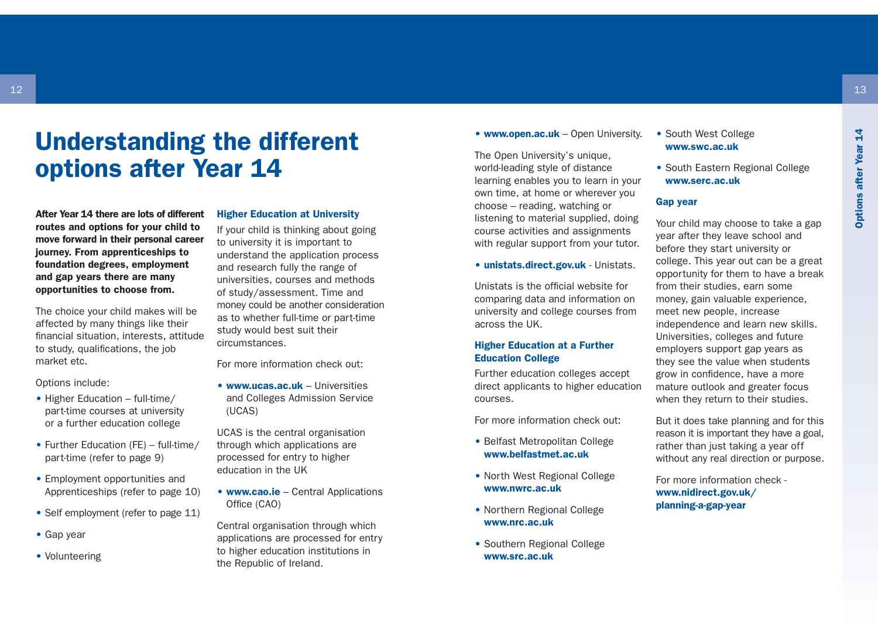### Understanding the different options after Year 14

After Year 14 there are lots of different routes and options for your child to move forward in their personal career journey. From apprenticeships to foundation degrees, employment and gap years there are many opportunities to choose from.

The choice your child makes will be affected by many things like their financial situation, interests, attitude to study, qualifications, the job market etc.

Options include:

- Higher Education full-time/ part-time courses at university or a further education college
- Further Education (FE) full-time/ part-time (refer to page 9)
- Employment opportunities and Apprenticeships (refer to page 10)
- Self employment (refer to page 11)
- Gap year
- Volunteering

#### Higher Education at University

If your child is thinking about going to university it is important to understand the application process and research fully the range of universities, courses and methods of study/assessment. Time and money could be another consideration as to whether full-time or part-time study would best suit their circumstances.

For more information check out:

• www.ucas.ac.uk – Universities and Colleges Admission Service (UCAS)

UCAS is the central organisation through which applications are processed for entry to higher education in the UK

• www.cao.ie – Central Applications Office (CAO)

Central organisation through which applications are processed for entry to higher education institutions in the Republic of Ireland.

• www.open.ac.uk – Open University.

The Open University's unique, world-leading style of distance learning enables you to learn in your own time, at home or wherever you choose – reading, watching or listening to material supplied, doing course activities and assignments with regular support from your tutor.

#### • unistats.direct.gov.uk - Unistats.

Unistats is the official website for comparing data and information on university and college courses from across the UK.

#### Higher Education at a Further Education College

Further education colleges accept direct applicants to higher education courses.

For more information check out:

- Belfast Metropolitan College www.belfastmet.ac.uk
- North West Regional College www.nwrc.ac.uk
- Northern Regional College www.nrc.ac.uk
- Southern Regional College www.src.ac.uk

#### • South West College www.swc.ac.uk

• South Eastern Regional College www.serc.ac.uk

#### Gap year

Your child may choose to take a gap year after they leave school and before they start university or college. This year out can be a great opportunity for them to have a break from their studies, earn some money, gain valuable experience, meet new people, increase independence and learn new skills. Universities, colleges and future employers support gap years as they see the value when students grow in confidence, have a more mature outlook and greater focus when they return to their studies.

But it does take planning and for this reason it is important they have a goal, rather than just taking a year off without any real direction or purpose.

For more information check www.nidirect.gov.uk/ planning-a-gap-year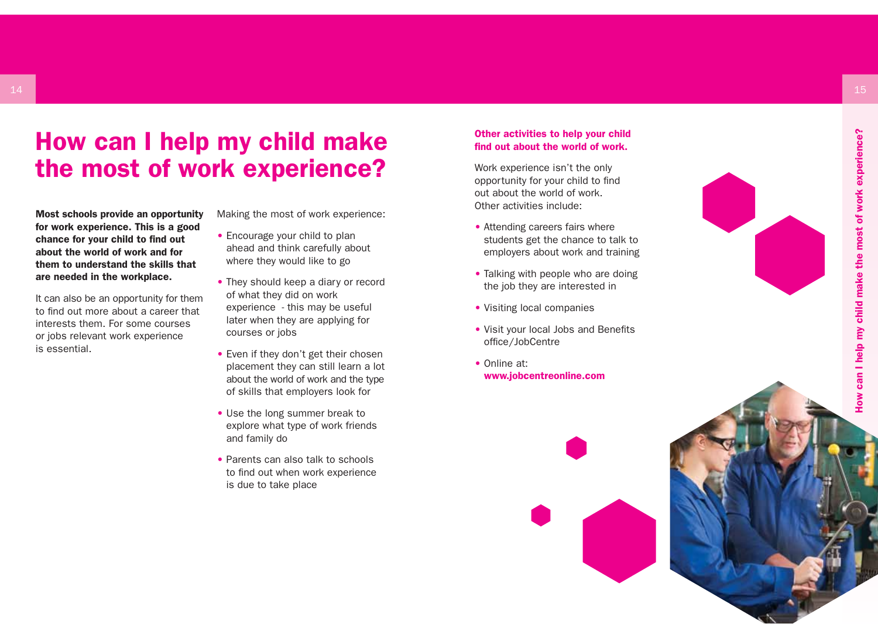### How can I help my child make the most of work experience?

Most schools provide an opportunity for work experience. This is a good chance for your child to find out about the world of work and for them to understand the skills that are needed in the workplace.

It can also be an opportunity for them to find out more about a career that interests them. For some courses or jobs relevant work experience is essential.

Making the most of work experience:

- Encourage your child to plan ahead and think carefully about where they would like to go
- They should keep a diary or record of what they did on work experience - this may be useful later when they are applying for courses or jobs
- Even if they don't get their chosen placement they can still learn a lot about the world of work and the type of skills that employers look for
- Use the long summer break to explore what type of work friends and family do
- Parents can also talk to schools to find out when work experience is due to take place

#### Other activities to help your child find out about the world of work.

Work experience isn't the only opportunity for your child to find out about the world of work. Other activities include:

- Attending careers fairs where students get the chance to talk to employers about work and training
- Talking with people who are doing the job they are interested in
- Visiting local companies
- Visit your local Jobs and Benefits office/JobCentre
- Online at: www.jobcentreonline.com





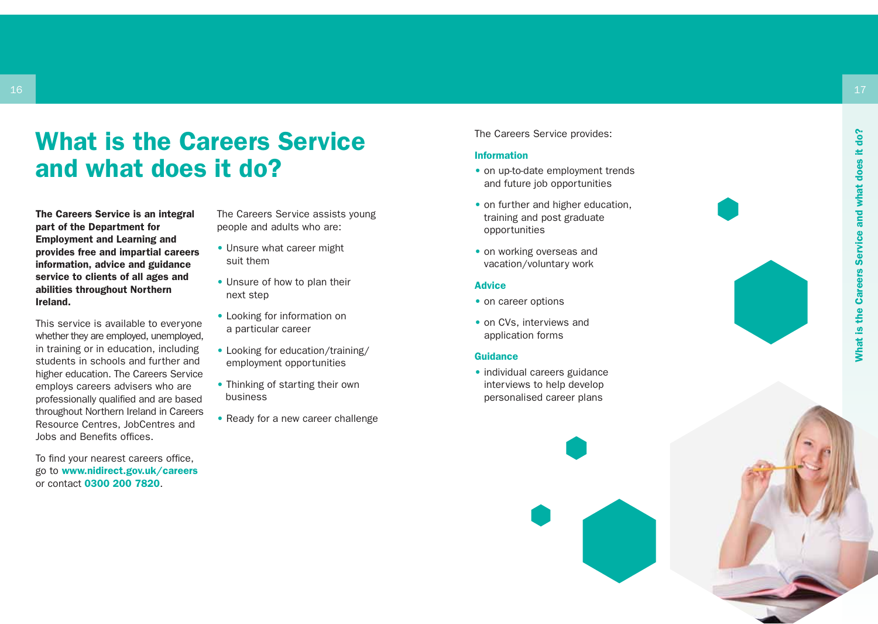## What is the Careers Service and what does it do?

The Careers Service is an integral part of the Department for Employment and Learning and provides free and impartial careers information, advice and guidance service to clients of all ages and abilities throughout Northern Ireland.

This service is available to everyone whether they are employed, unemployed, in training or in education, including students in schools and further and higher education. The Careers Service employs careers advisers who are professionally qualified and are based throughout Northern Ireland in Careers Resource Centres, JobCentres and Jobs and Benefits offices.

To find your nearest careers office, go to www.nidirect.gov.uk/careers or contact 0300 200 7820 .

The Careers Service assists young people and adults who are:

- Unsure what career might suit them
- Unsure of how to plan their next step
- Looking for information on a particular career
- Looking for education/training/ employment opportunities
- Thinking of starting their own business
- Ready for a new career challenge

The Careers Service provides:

#### Information

- on up-to-date employment trends and future job opportunities
- on further and higher education, training and post graduate opportunities
- on working overseas and vacation/voluntary work

#### **Advice**

- on career options
- on CVs, interviews and application forms

#### **Guidance**

• individual careers guidance interviews to help develop personalised career plans



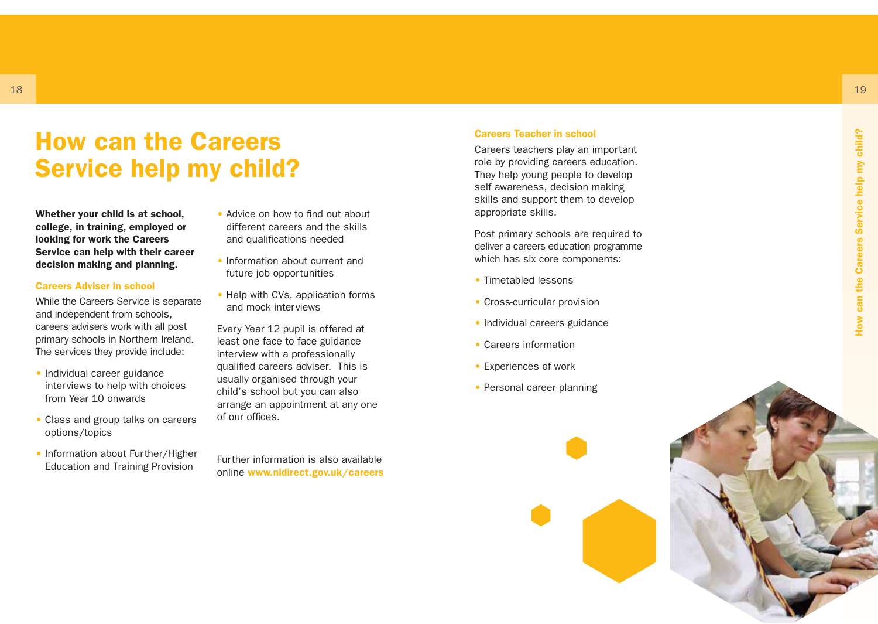### How can the Careers Service help my child?

Whether your child is at school, college, in training, employed or looking for work the Careers Service can help with their career decision making and planning.

#### Careers Adviser in school

While the Careers Service is separate and independent from schools, careers advisers work with all post primary schools in Northern Ireland. The services they provide include:

- Individual career guidance interviews to help with choices from Year 10 onwards
- Class and group talks on careers options/topics
- Information about Further/Higher Education and Training Provision
- Advice on how to find out about different careers and the skills and qualifications needed
- Information about current and future job opportunities
- Help with CVs, application forms and mock interviews

Every Year 12 pupil is offered at least one face to face guidance interview with a professionally qualified careers adviser. This is usually organised through your child's school but you can also arrange an appointment at any one of our offices.

Further information is also available online www.nidirect.gov.uk/careers

#### Careers Teacher in school

Careers teachers play an important role by providing careers education. They help young people to develop self awareness, decision making skills and support them to develop appropriate skills.

Post primary schools are required to deliver a careers education programme which has six core components:

- Timetabled lessons
- Cross-curricular provision
- Individual careers guidance
- Careers information
- Experiences of work
- Personal career planning

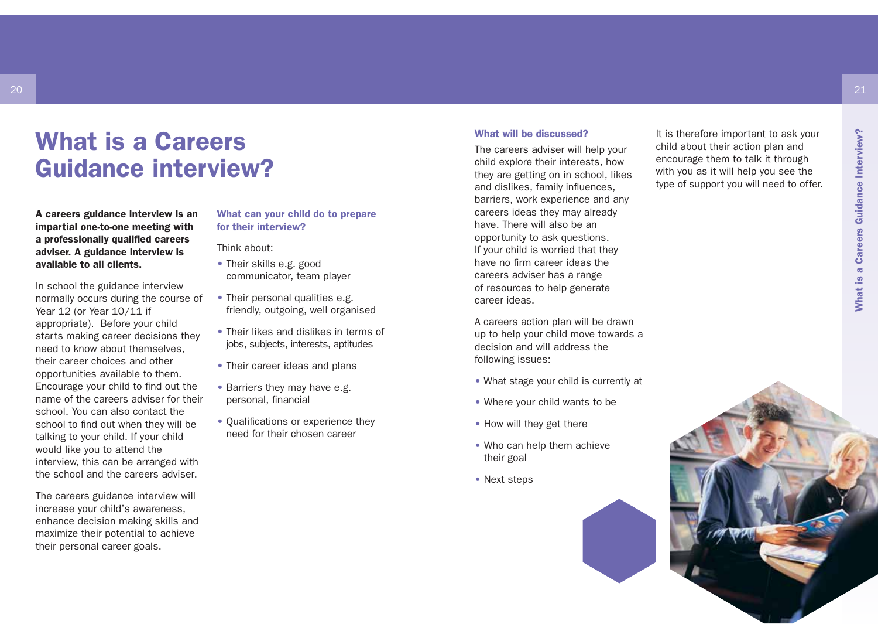### What is a Careers Guidance interview?

A careers guidance interview is an impartial one-to-one meeting with a professionally qualified careers adviser. A guidance interview is available to all clients.

20

In school the guidance interview normally occurs during the course of Year 12 (or Year 10/11 if appropriate). Before your child starts making career decisions they need to know about themselves, their career choices and other opportunities available to them. Encourage your child to find out the name of the careers adviser for their school. You can also contact the school to find out when they will be talking to your child. If your child would like you to attend the interview, this can be arranged with the school and the careers adviser.

The careers guidance interview will increase your child's awareness, enhance decision making skills and maximize their potential to achieve their personal career goals.

#### What can your child do to prepare for their interview?

Think about:

- Their skills e.g. good communicator, team player
- Their personal qualities e.g. friendly, outgoing, well organised
- Their likes and dislikes in terms of jobs, subjects, interests, aptitudes
- Their career ideas and plans
- Barriers they may have e.g. personal, financial
- Oualifications or experience they need for their chosen career

#### What will be discussed?

The careers adviser will help your child explore their interests, how they are getting on in school, likes and dislikes, family influences, barriers, work experience and any careers ideas they may already have. There will also be an opportunity to ask questions. If your child is worried that they have no firm career ideas the careers adviser has a range of resources to help generate career ideas.

A careers action plan will be drawn up to help your child move towards a decision and will address the following issues:

- What stage your child is currently at
- Where your child wants to be
- How will they get there
- Who can help them achieve their goal
- Next steps



It is therefore important to ask your child about their action plan and encourage them to talk it through with you as it will help you see the type of support you will need to offer.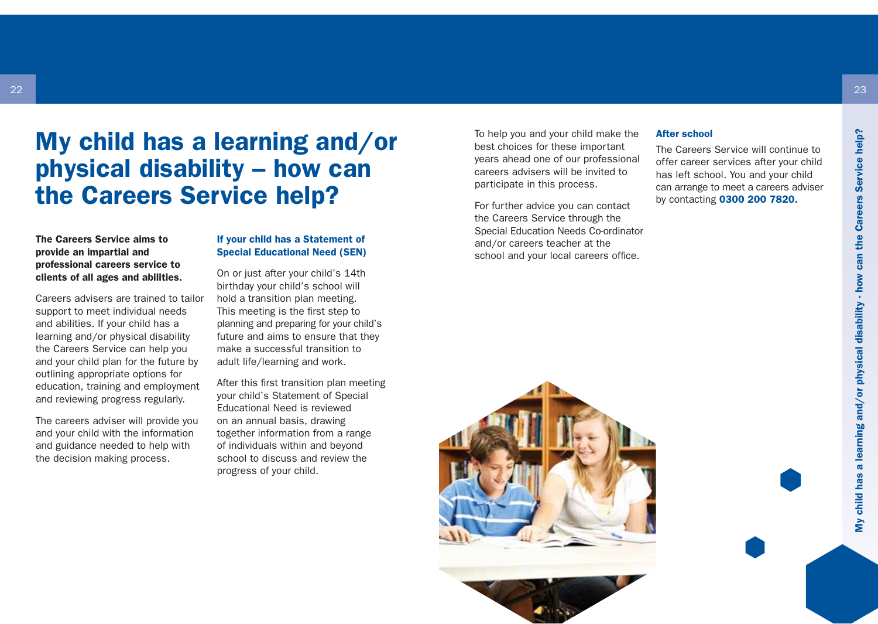### My child has a learning and/or physical disability – how can the Careers Service help?

#### The Careers Service aims to provide an impartial and professional careers service to clients of all ages and abilities.

Careers advisers are trained to tailor support to meet individual needs and abilities. If your child has a learning and/or physical disability the Careers Service can help you and your child plan for the future by outlining appropriate options for education, training and employment and reviewing progress regularly.

The careers adviser will provide you and your child with the information and guidance needed to help with the decision making process.

#### If your child has a Statement of Special Educational Need (SEN)

On or just after your child's 14th birthday your child's school will hold a transition plan meeting. This meeting is the first step to planning and preparing for your child's future and aims to ensure that they make a successful transition to adult life/learning and work.

After this first transition plan meeting your child's Statement of Special Educational Need is reviewed on an annual basis, drawing together information from a range of individuals within and beyond school to discuss and review the progress of your child.

To help you and your child make the best choices for these important years ahead one of our professional careers advisers will be invited to participate in this process.

For further advice you can contact the Careers Service through the Special Education Needs Co-ordinator and/or careers teacher at the school and your local careers office.

#### After school

The Careers Service will continue to offer career services after your child has left school. You and your child can arrange to meet a careers adviser by contacting 0300 200 7820.



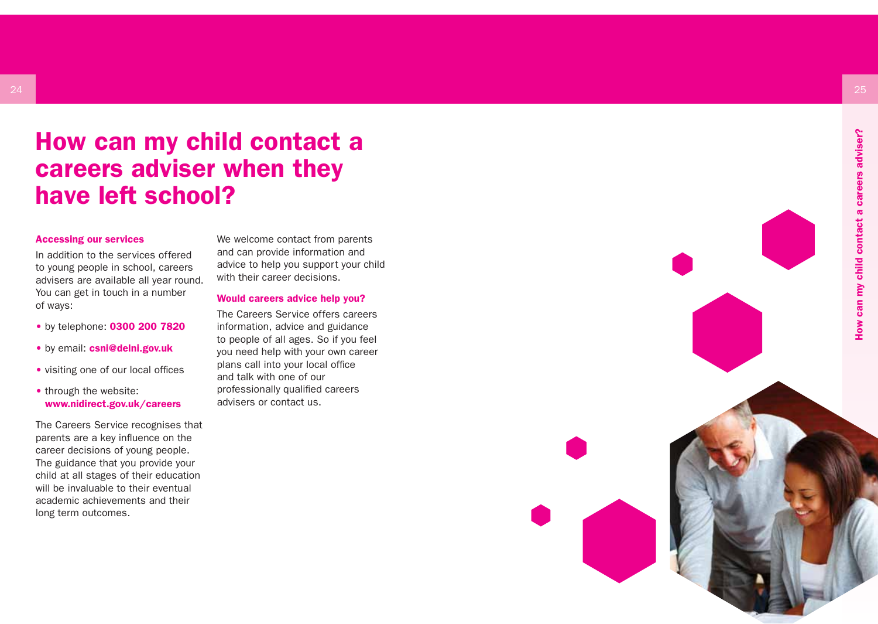### How can my child contact a careers adviser when they have left school?

#### Accessing our services

In addition to the services offered to young people in school, careers advisers are available all year round. You can get in touch in a number of ways:

- by telephone: 0300 200 7820
- by email: csni@delni.gov.uk
- visiting one of our local offices
- through the website: www.nidirect.gov.uk/careers

The Careers Service recognises that parents are a key influence on the career decisions of young people. The guidance that you provide your child at all stages of their education will be invaluable to their eventual academic achievements and their long term outcomes.

We welcome contact from parents and can provide information and advice to help you support your child with their career decisions.

#### Would careers advice help you?

The Careers Service offers careers information, advice and guidance to people of all ages. So if you feel you need help with your own career plans call into your local office and talk with one of our professionally qualified careers advisers or contact us.



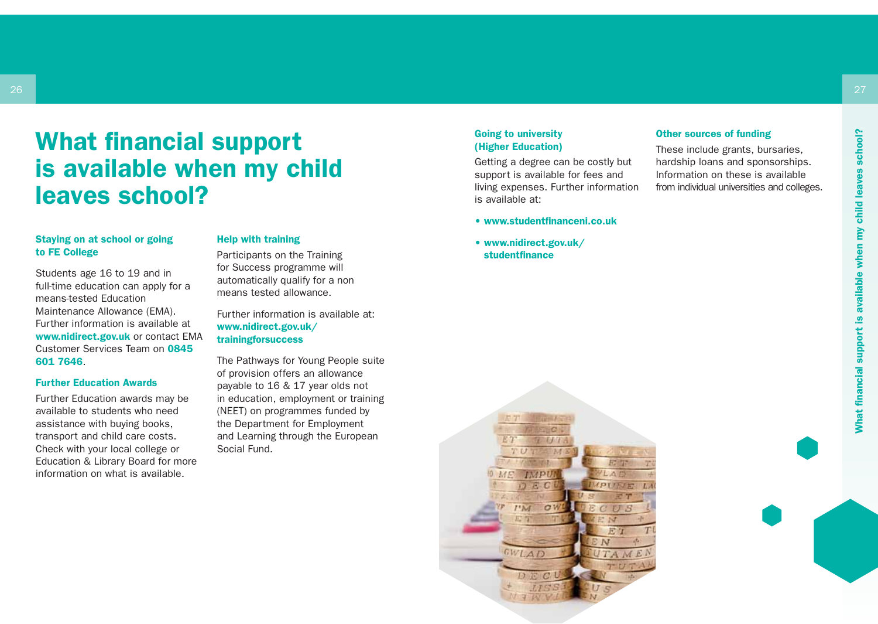### What financial support is available when my child leaves school?

#### Staying on at school or going to FE College

Students age 16 to 19 and in full-time education can apply for a means-tested Education Maintenance Allowance (EMA). Further information is available at www.nidirect.gov.uk or contact EMA Customer Services Team on 0845 601 7646.

#### Further Education Awards

Further Education awards may be available to students who need assistance with buying books, transport and child care costs. Check with your local college or Education & Library Board for more information on what is available.

#### Help with training

Participants on the Training for Success programme will automatically qualify for a non means tested allowance.

Further information is available at: www.nidirect.gov.uk/ trainingforsuccess

The Pathways for Young People suite of provision offers an allowance payable to 16 & 17 year olds not in education, employment or training (NEET) on programmes funded by the Department for Employment and Learning through the European Social Fund.

#### Going to university (Higher Education)

Getting a degree can be costly but support is available for fees and living expenses. Further information is available at:

- www.studentfinanceni.co.uk
- www.nidirect.gov.uk/ studentfinance



#### Other sources of funding

These include grants, bursaries, hardship loans and sponsorships. Information on these is available from individual universities and colleges.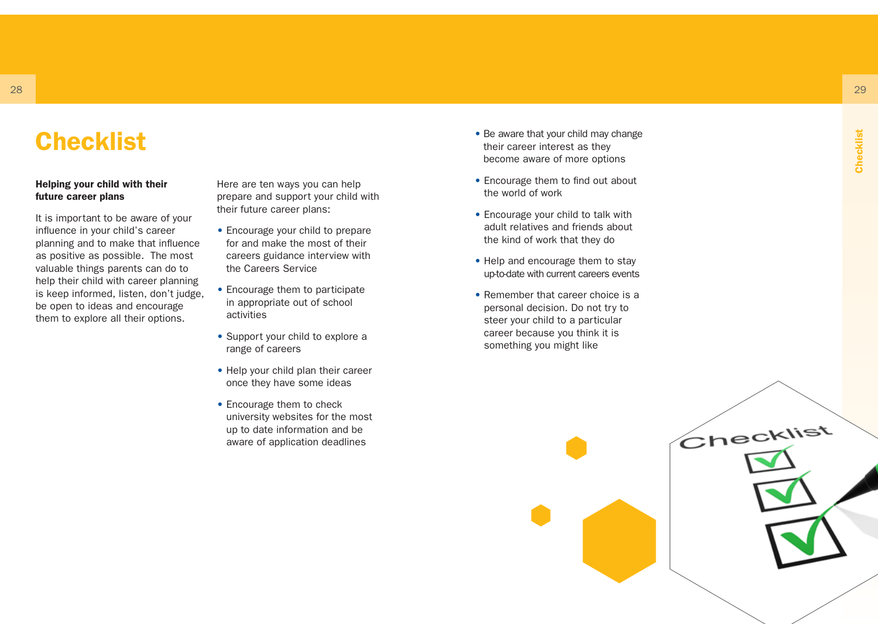## **Checklist**

#### Helping your child with their future career plans

It is important to be aware of your influence in your child's career planning and to make that influence as positive as possible. The most valuable things parents can do to help their child with career planning is keep informed, listen, don't judge, be open to ideas and encourage them to explore all their options.

Here are ten ways you can help prepare and support your child with their future career plans:

- Encourage your child to prepare for and make the most of their careers guidance interview with the Careers Service
- Encourage them to participate in appropriate out of school activities
- Support your child to explore a range of careers
- Help your child plan their career once they have some ideas
- Encourage them to check university websites for the most up to date information and be aware of application deadlines
- Be aware that your child may change their career interest as they become aware of more options
- Encourage them to find out about the world of work
- Encourage your child to talk with adult relatives and friends about the kind of work that they do
- Help and encourage them to stay up-to-date with current careers events
- Remember that career choice is a personal decision. Do not try to steer your child to a particular career because you think it is something you might like

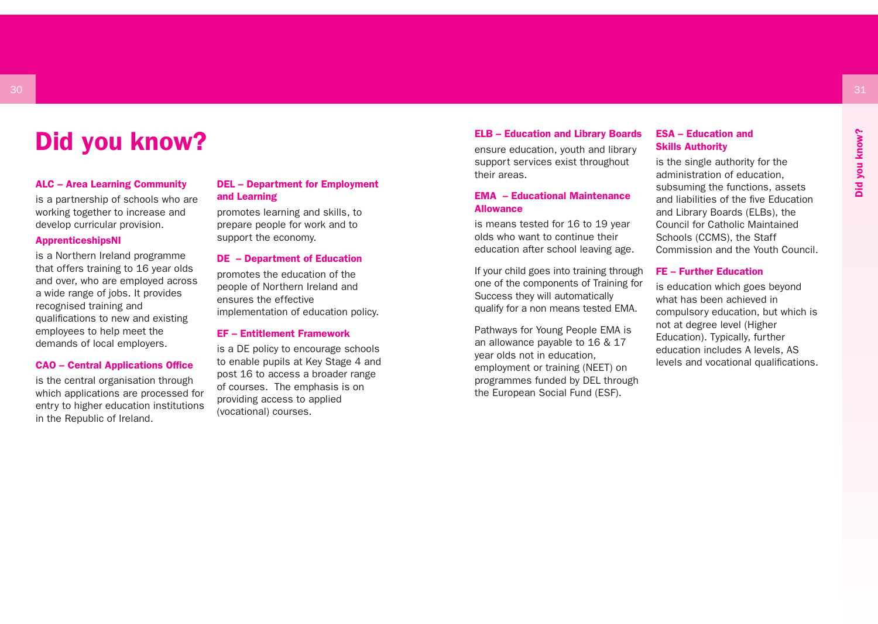### Did you know?

#### ALC – Area Learning Community

is a partnership of schools who are working together to increase and develop curricular provision.

#### ApprenticeshipsNI

is a Northern Ireland programme that offers training to 16 year olds and over, who are employed across a wide range of jobs. It provides recognised training and qualifications to new and existing employees to help meet the demands of local employers.

#### CAO – Central Applications Office

is the central organisation through which applications are processed for entry to higher education institutions in the Republic of Ireland.

#### DEL – Department for Employment and Learning

promotes learning and skills, to prepare people for work and to support the economy.

#### DE – Department of Education

promotes the education of the people of Northern Ireland and ensures the effective implementation of education policy.

#### EF – Entitlement Framework

is a DE policy to encourage schools to enable pupils at Key Stage 4 and post 16 to access a broader range of courses. The emphasis is on providing access to applied (vocational) courses.

#### ELB – Education and Library Boards

ensure education, youth and library support services exist throughout their areas.

#### EMA – Educational Maintenance Allowance

is means tested for 16 to 19 year olds who want to continue their education after school leaving age.

If your child goes into training through one of the components of Training for Success they will automatically qualify for a non means tested EMA.

Pathways for Young People EMA is an allowance payable to 16 & 17 year olds not in education, employment or training (NEET) on programmes funded by DEL through the European Social Fund (ESF).

#### ESA – Education and Skills Authority

is the single authority for the administration of education, subsuming the functions, assets and liabilities of the five Education and Library Boards (ELBs), the Council for Catholic Maintained Schools (CCMS), the Staff Commission and the Youth Council.

#### FE – Further Education

is education which goes beyond what has been achieved in compulsory education, but which is not at degree level (Higher Education). Typically, further education includes A levels, AS levels and vocational qualifications.